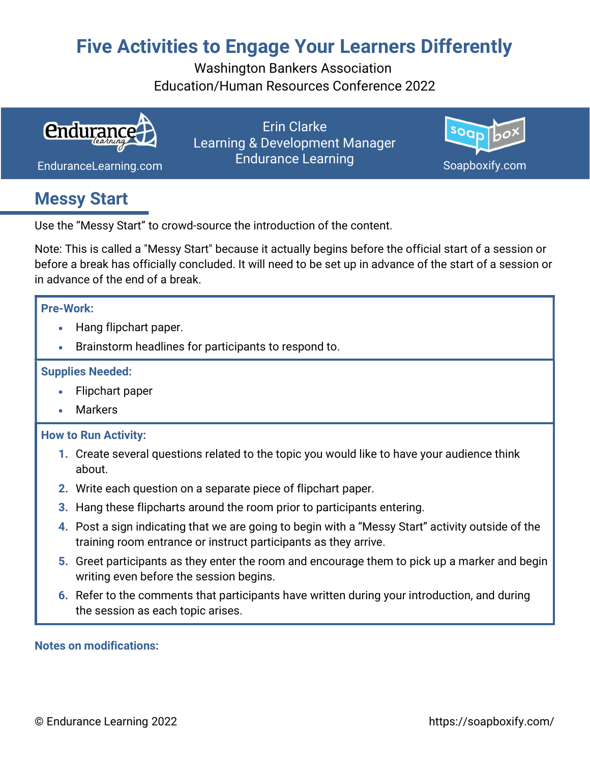# Five Activities to Engage Your Learners Differently

Washington Bankers Association Education/Human Resources Conference 2022



Erin Clarke Learning & Development Manager Endurance Learning Com Endurance Learning Com Soapboxify.com



### Messy Start

Use the "Messy Start" to crowd-source the introduction of the content.

Note: This is called a "Messy Start" because it actually begins before the official start of a session or before a break has officially concluded. It will need to be set up in advance of the start of a session or in advance of the end of a break.

### Pre-Work:

- Hang flipchart paper.
- Brainstorm headlines for participants to respond to.

### Supplies Needed:

- Flipchart paper
- Markers

#### How to Run Activity:

- 1. Create several questions related to the topic you would like to have your audience think about.
- 2. Write each question on a separate piece of flipchart paper.
- 3. Hang these flipcharts around the room prior to participants entering.
- 4. Post a sign indicating that we are going to begin with a "Messy Start" activity outside of the training room entrance or instruct participants as they arrive.
- 5. Greet participants as they enter the room and encourage them to pick up a marker and begin writing even before the session begins.
- 6. Refer to the comments that participants have written during your introduction, and during the session as each topic arises.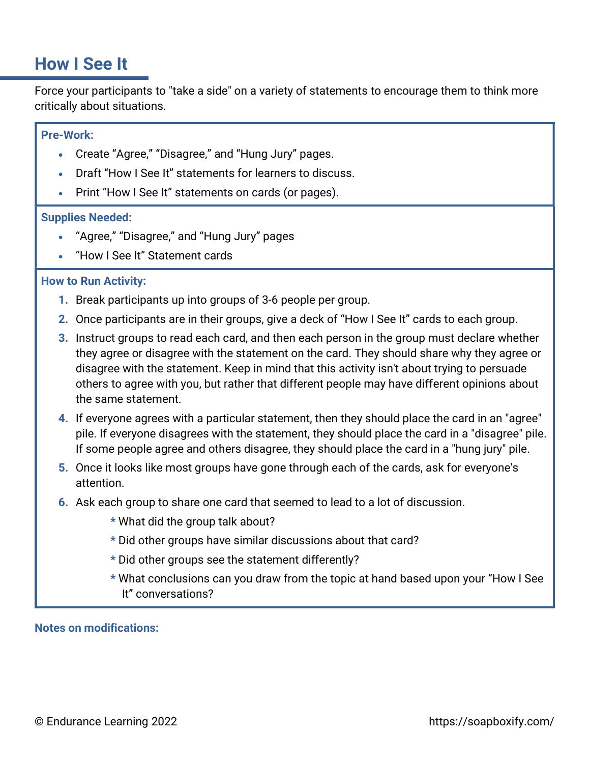### How I See It

Force your participants to "take a side" on a variety of statements to encourage them to think more critically about situations.

### Pre-Work:

- Create "Agree," "Disagree," and "Hung Jury" pages.
- Draft "How I See It" statements for learners to discuss.
- Print "How I See It" statements on cards (or pages).

#### Supplies Needed:

- "Agree," "Disagree," and "Hung Jury" pages
- "How I See It" Statement cards

#### How to Run Activity:

- 1. Break participants up into groups of 3-6 people per group.
- 2. Once participants are in their groups, give a deck of "How I See It" cards to each group.
- **3.** Instruct groups to read each card, and then each person in the group must declare whether they agree or disagree with the statement on the card. They should share why they agree or disagree with the statement. Keep in mind that this activity isn't about trying to persuade others to agree with you, but rather that different people may have different opinions about the same statement.
- 4. If everyone agrees with a particular statement, then they should place the card in an "agree" pile. If everyone disagrees with the statement, they should place the card in a "disagree" pile. If some people agree and others disagree, they should place the card in a "hung jury" pile.
- 5. Once it looks like most groups have gone through each of the cards, ask for everyone's attention.
- 6. Ask each group to share one card that seemed to lead to a lot of discussion.
	- \* What did the group talk about?
	- \* Did other groups have similar discussions about that card?
	- \* Did other groups see the statement differently?
	- \* What conclusions can you draw from the topic at hand based upon your "How I See It" conversations?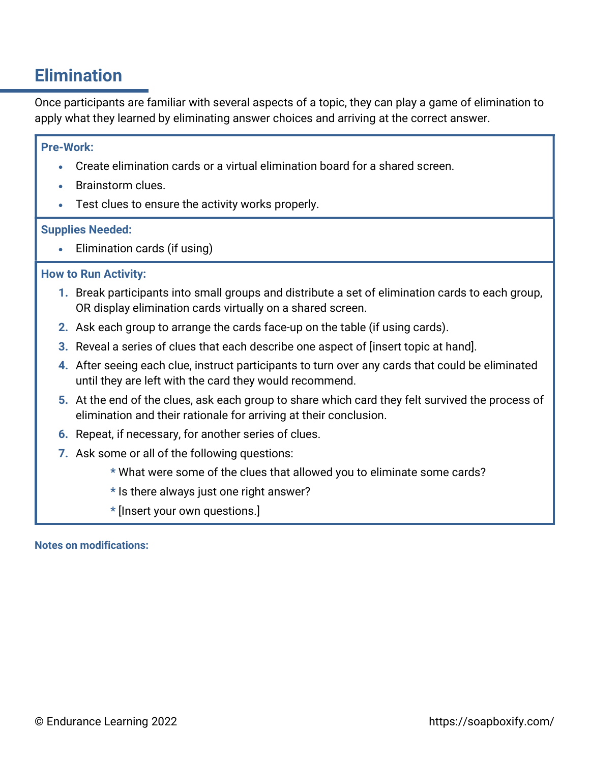## Elimination

Once participants are familiar with several aspects of a topic, they can play a game of elimination to apply what they learned by eliminating answer choices and arriving at the correct answer.

#### Pre-Work:

- Create elimination cards or a virtual elimination board for a shared screen.
- Brainstorm clues.
- Test clues to ensure the activity works properly.

#### Supplies Needed:

Elimination cards (if using)

#### How to Run Activity:

- 1. Break participants into small groups and distribute a set of elimination cards to each group, OR display elimination cards virtually on a shared screen.
- 2. Ask each group to arrange the cards face-up on the table (if using cards).
- 3. Reveal a series of clues that each describe one aspect of [insert topic at hand].
- 4. After seeing each clue, instruct participants to turn over any cards that could be eliminated until they are left with the card they would recommend.
- 5. At the end of the clues, ask each group to share which card they felt survived the process of elimination and their rationale for arriving at their conclusion.
- 6. Repeat, if necessary, for another series of clues.
- 7. Ask some or all of the following questions:
	- \* What were some of the clues that allowed you to eliminate some cards?
	- \* Is there always just one right answer?
	- \* [Insert your own questions.]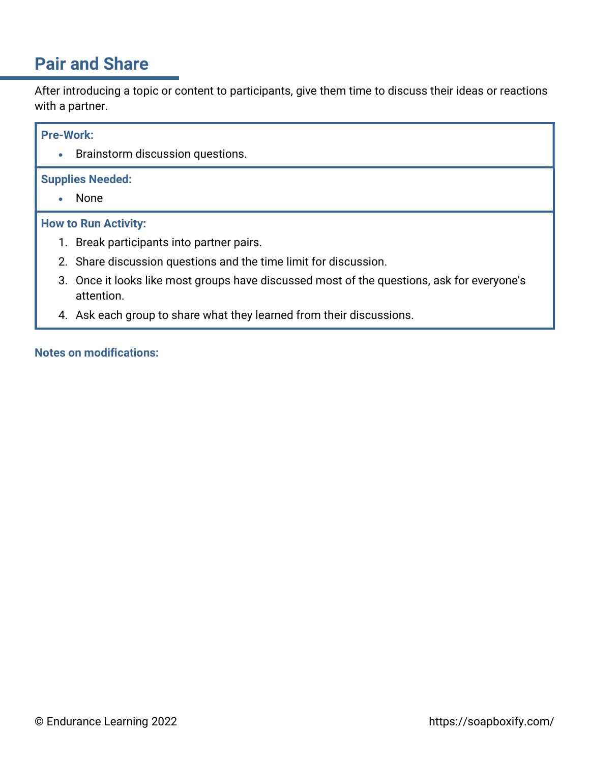## Pair and Share

After introducing a topic or content to participants, give them time to discuss their ideas or reactions with a partner.

#### Pre-Work:

**•** Brainstorm discussion questions.

#### Supplies Needed:

None

#### How to Run Activity:

- 1. Break participants into partner pairs.
- 2. Share discussion questions and the time limit for discussion.
- 3. Once it looks like most groups have discussed most of the questions, ask for everyone's attention.
- 4. Ask each group to share what they learned from their discussions.